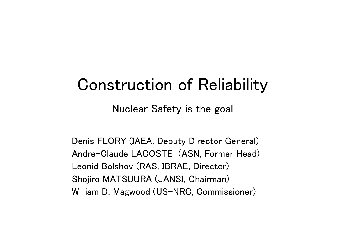## Construction of Reliability

Nuclear Safety is the goal

Denis FLORY (IAEA, Deputy Director General) Andre-Claude LACOSTE (ASN, Former Head) Leonid Bolshov (RAS, IBRAE, Director) Shojiro MATSUURA (JANSI, Chairman) William D. Magwood (US-NRC, Commissioner)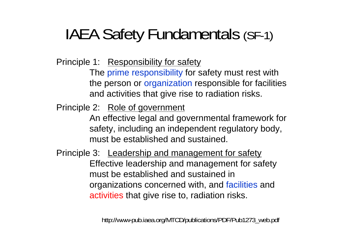# IAEA Safety Fundamentals (SF-1)

Principle 1: Responsibility for safety

The prime responsibility for safety must rest with the person or organization responsible for facilities and activities that give rise to radiation risks.

Principle 2: Role of government

An effective legal and governmental framework for safety, including an independent regulatory body, must be established and sustained.

Principle 3: Leadership and management for safety Effective leadership and management for safety must be established and sustained in organizations concerned with, and facilities and activities that give rise to, radiation risks.

http://www-pub.iaea.org/MTCD/publications/PDF/Pub1273\_web.pdf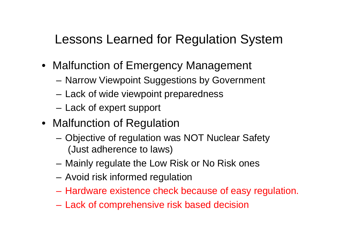### Lessons Learned for Regulation System

- Malfunction of Emergency Management
	- Narrow Viewpoint Suggestions by Government
	- Lack of wide viewpoint preparedness
	- Lack of expert support
- Malfunction of Regulation
	- – Objective of regulation was NOT Nuclear Safety (Just adherence to laws)
	- Mainly regulate the Low Risk or No Risk ones
	- Avoid risk informed regulation
	- Hardware existence check because of easy regulation.
	- Lack of comprehensive risk based decision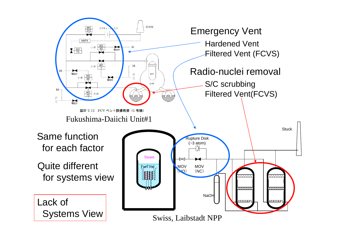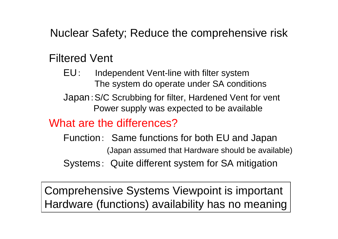Nuclear Safety; Reduce the comprehensive risk

#### Filtered Vent

EU: Independent Vent-line with filter system The system do operate under SA conditions Japan:S/C Scrubbing for filter, Hardened Vent for vent

Power supply was expected to be available

#### What are the differences?

Function: Same functions for both EU and Japan (Japan assumed that Hardware should be available) Systems: Quite different system for SA mitigation

Comprehensive Systems Viewpoint is important Hardware (functions) availability has no meaning